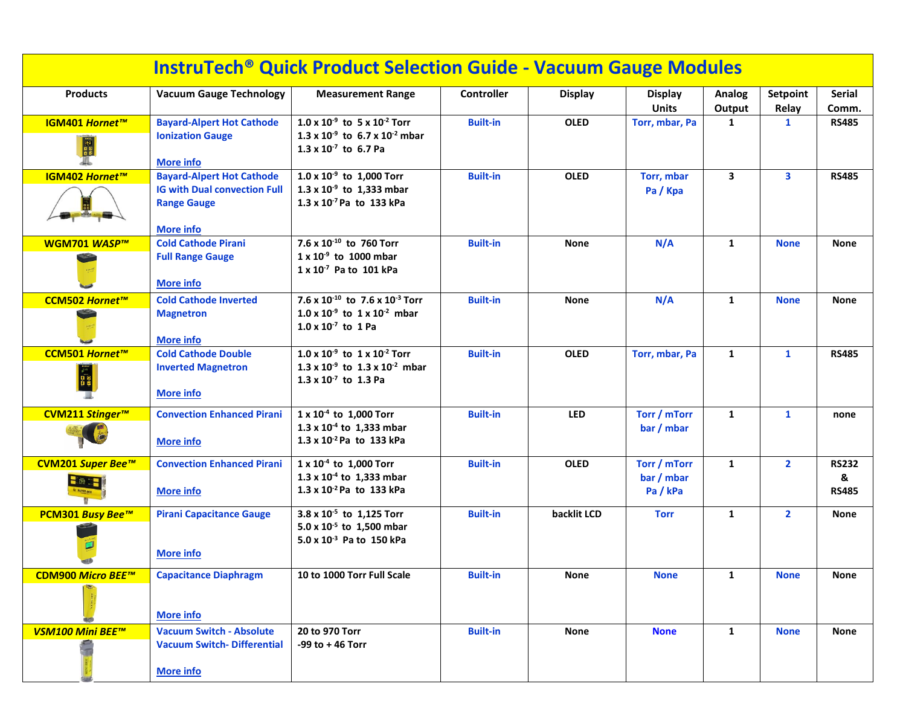| <b>InstruTech<sup>®</sup> Quick Product Selection Guide - Vacuum Gauge Modules</b> |                                                                                          |                                                                                                                    |                   |                |                                |                         |                   |                        |  |  |
|------------------------------------------------------------------------------------|------------------------------------------------------------------------------------------|--------------------------------------------------------------------------------------------------------------------|-------------------|----------------|--------------------------------|-------------------------|-------------------|------------------------|--|--|
| <b>Products</b>                                                                    | <b>Vacuum Gauge Technology</b>                                                           | <b>Measurement Range</b>                                                                                           | <b>Controller</b> | <b>Display</b> | <b>Display</b><br><b>Units</b> | Analog<br>Output        | Setpoint<br>Relay | <b>Serial</b><br>Comm. |  |  |
| IGM401 Hornet™                                                                     | <b>Bayard-Alpert Hot Cathode</b>                                                         | $1.0 \times 10^{-9}$ to $5 \times 10^{-2}$ Torr                                                                    | <b>Built-in</b>   | <b>OLED</b>    | Torr, mbar, Pa                 | 1                       | $\mathbf{1}$      | <b>RS485</b>           |  |  |
| <b>INE</b>                                                                         | <b>Ionization Gauge</b><br><b>More info</b>                                              | 1.3 x $10^{-9}$ to 6.7 x $10^{-2}$ mbar<br>$1.3 \times 10^{-7}$ to 6.7 Pa                                          |                   |                |                                |                         |                   |                        |  |  |
| IGM402 Hornet™                                                                     | <b>Bayard-Alpert Hot Cathode</b>                                                         | $1.0 \times 10^{-9}$ to 1,000 Torr                                                                                 | <b>Built-in</b>   | <b>OLED</b>    | Torr, mbar                     | $\overline{\mathbf{3}}$ | 3                 | <b>RS485</b>           |  |  |
|                                                                                    | <b>IG with Dual convection Full</b><br><b>Range Gauge</b>                                | $1.3 \times 10^{-9}$ to 1,333 mbar<br>$1.3 \times 10^{-7}$ Pa to 133 kPa                                           |                   |                | Pa / Kpa                       |                         |                   |                        |  |  |
| WGM701 WASP™                                                                       | <b>More info</b><br><b>Cold Cathode Pirani</b>                                           | 7.6 x 10 <sup>-10</sup> to 760 Torr                                                                                | <b>Built-in</b>   | <b>None</b>    | N/A                            | $\mathbf{1}$            | <b>None</b>       | <b>None</b>            |  |  |
|                                                                                    | <b>Full Range Gauge</b><br><b>More info</b>                                              | $1 \times 10^{-9}$ to 1000 mbar<br>$1 \times 10^{-7}$ Pa to 101 kPa                                                |                   |                |                                |                         |                   |                        |  |  |
| CCM502 Hornet™                                                                     | <b>Cold Cathode Inverted</b>                                                             | 7.6 x $10^{-10}$ to 7.6 x $10^{-3}$ Torr                                                                           | <b>Built-in</b>   | <b>None</b>    | N/A                            | 1                       | <b>None</b>       | <b>None</b>            |  |  |
|                                                                                    | <b>Magnetron</b><br><b>More info</b>                                                     | $1.0 \times 10^{-9}$ to $1 \times 10^{-2}$ mbar<br>$1.0 \times 10^{-7}$ to 1 Pa                                    |                   |                |                                |                         |                   |                        |  |  |
| CCM501 Hornet™                                                                     | <b>Cold Cathode Double</b>                                                               | $1.0 \times 10^{-9}$ to $1 \times 10^{-2}$ Torr                                                                    | <b>Built-in</b>   | <b>OLED</b>    | Torr, mbar, Pa                 | $\mathbf{1}$            | $\mathbf{1}$      | <b>RS485</b>           |  |  |
|                                                                                    | <b>Inverted Magnetron</b><br><b>More info</b>                                            | 1.3 x $10^{-9}$ to 1.3 x $10^{-2}$ mbar<br>$1.3 \times 10^{-7}$ to 1.3 Pa                                          |                   |                |                                |                         |                   |                        |  |  |
| CVM211 Stinger <sup>™</sup>                                                        | <b>Convection Enhanced Pirani</b>                                                        | $1 \times 10^{-4}$ to 1,000 Torr                                                                                   | <b>Built-in</b>   | <b>LED</b>     | Torr / mTorr                   | $\mathbf{1}$            | $\mathbf{1}$      | none                   |  |  |
|                                                                                    | <b>More info</b>                                                                         | 1.3 x $10^{-4}$ to 1,333 mbar<br>$1.3 \times 10^{-2}$ Pa to 133 kPa                                                |                   |                | bar / mbar                     |                         |                   |                        |  |  |
| CVM201 Super Bee™                                                                  | <b>Convection Enhanced Pirani</b>                                                        | 1 x 10 <sup>-4</sup> to 1,000 Torr                                                                                 | <b>Built-in</b>   | <b>OLED</b>    | Torr / mTorr                   | $\mathbf{1}$            | $\overline{2}$    | <b>RS232</b>           |  |  |
| $\blacksquare$ 760 $\blacksquare$                                                  | <b>More info</b>                                                                         | 1.3 x $10^{-4}$ to 1,333 mbar<br>$1.3 \times 10^{-2}$ Pa to 133 kPa                                                |                   |                | bar / mbar<br>Pa/kPa           |                         |                   | &<br><b>RS485</b>      |  |  |
| <b>PCM301 Busy Bee™</b>                                                            | <b>Pirani Capacitance Gauge</b><br><b>More info</b>                                      | 3.8 x 10 <sup>-5</sup> to 1,125 Torr<br>5.0 x 10 <sup>-5</sup> to 1,500 mbar<br>$5.0 \times 10^{-3}$ Pa to 150 kPa | <b>Built-in</b>   | backlit LCD    | <b>Torr</b>                    | 1                       | $\overline{2}$    | <b>None</b>            |  |  |
| CDM900 Micro BEE™                                                                  | <b>Capacitance Diaphragm</b>                                                             | 10 to 1000 Torr Full Scale                                                                                         | <b>Built-in</b>   | <b>None</b>    | <b>None</b>                    | 1                       | <b>None</b>       | <b>None</b>            |  |  |
|                                                                                    | <b>More info</b>                                                                         |                                                                                                                    |                   |                |                                |                         |                   |                        |  |  |
| VSM100 Mini BEE™                                                                   | <b>Vacuum Switch - Absolute</b><br><b>Vacuum Switch-Differential</b><br><b>More info</b> | 20 to 970 Torr<br>-99 to $+46$ Torr                                                                                | <b>Built-in</b>   | <b>None</b>    | <b>None</b>                    | $\mathbf{1}$            | <b>None</b>       | <b>None</b>            |  |  |